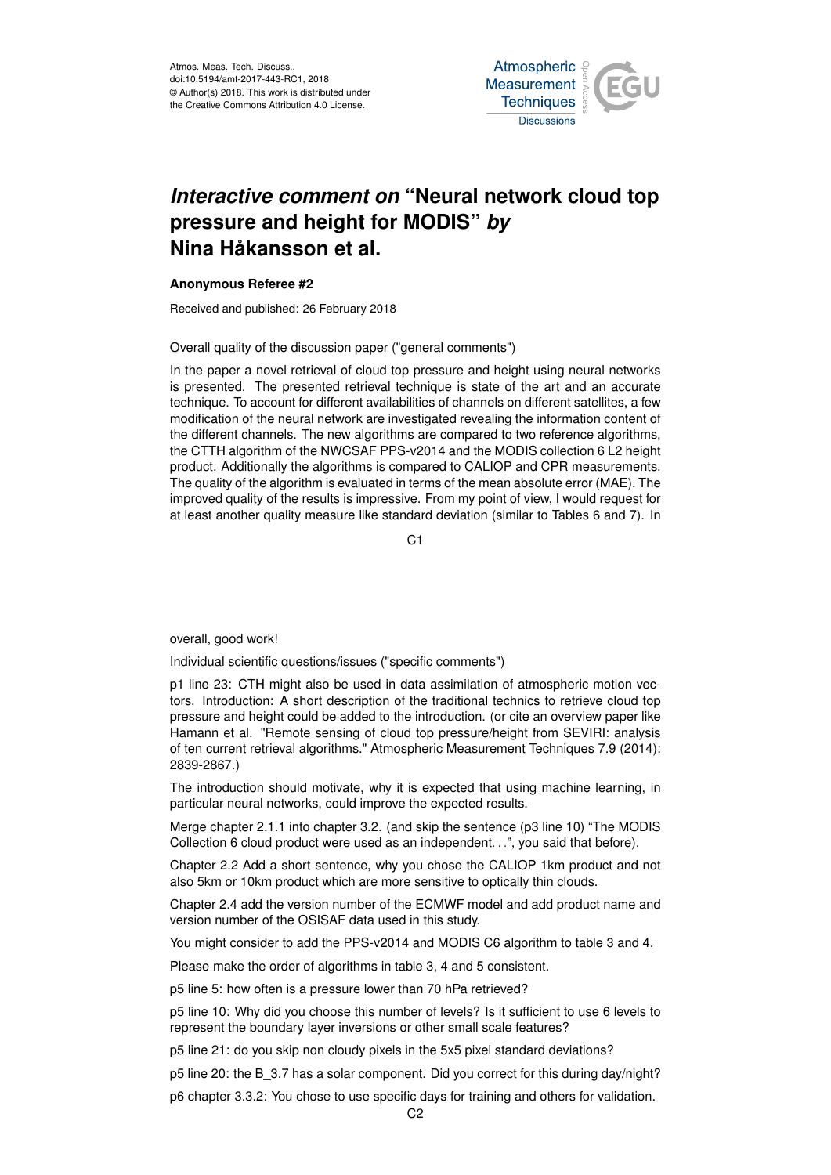Atmos. Meas. Tech. Discuss., doi:10.5194/amt-2017-443-RC1, 2018 © Author(s) 2018. This work is distributed under the Creative Commons Attribution 4.0 License.



## *Interactive comment on* **"Neural network cloud top pressure and height for MODIS"** *by* **Nina Håkansson et al.**

## **Anonymous Referee #2**

Received and published: 26 February 2018

Overall quality of the discussion paper ("general comments")

In the paper a novel retrieval of cloud top pressure and height using neural networks is presented. The presented retrieval technique is state of the art and an accurate technique. To account for different availabilities of channels on different satellites, a few modification of the neural network are investigated revealing the information content of the different channels. The new algorithms are compared to two reference algorithms, the CTTH algorithm of the NWCSAF PPS-v2014 and the MODIS collection 6 L2 height product. Additionally the algorithms is compared to CALIOP and CPR measurements. The quality of the algorithm is evaluated in terms of the mean absolute error (MAE). The improved quality of the results is impressive. From my point of view, I would request for at least another quality measure like standard deviation (similar to Tables 6 and 7). In

C1

overall, good work!

Individual scientific questions/issues ("specific comments")

p1 line 23: CTH might also be used in data assimilation of atmospheric motion vectors. Introduction: A short description of the traditional technics to retrieve cloud top pressure and height could be added to the introduction. (or cite an overview paper like Hamann et al. "Remote sensing of cloud top pressure/height from SEVIRI: analysis of ten current retrieval algorithms." Atmospheric Measurement Techniques 7.9 (2014): 2839-2867.)

The introduction should motivate, why it is expected that using machine learning, in particular neural networks, could improve the expected results.

Merge chapter 2.1.1 into chapter 3.2. (and skip the sentence (p3 line 10) "The MODIS Collection 6 cloud product were used as an independent. . .", you said that before).

Chapter 2.2 Add a short sentence, why you chose the CALIOP 1km product and not also 5km or 10km product which are more sensitive to optically thin clouds.

Chapter 2.4 add the version number of the ECMWF model and add product name and version number of the OSISAF data used in this study.

You might consider to add the PPS-v2014 and MODIS C6 algorithm to table 3 and 4.

Please make the order of algorithms in table 3, 4 and 5 consistent.

p5 line 5: how often is a pressure lower than 70 hPa retrieved?

p5 line 10: Why did you choose this number of levels? Is it sufficient to use 6 levels to represent the boundary layer inversions or other small scale features?

p5 line 21: do you skip non cloudy pixels in the 5x5 pixel standard deviations?

p5 line 20: the B\_3.7 has a solar component. Did you correct for this during day/night?

p6 chapter 3.3.2: You chose to use specific days for training and others for validation.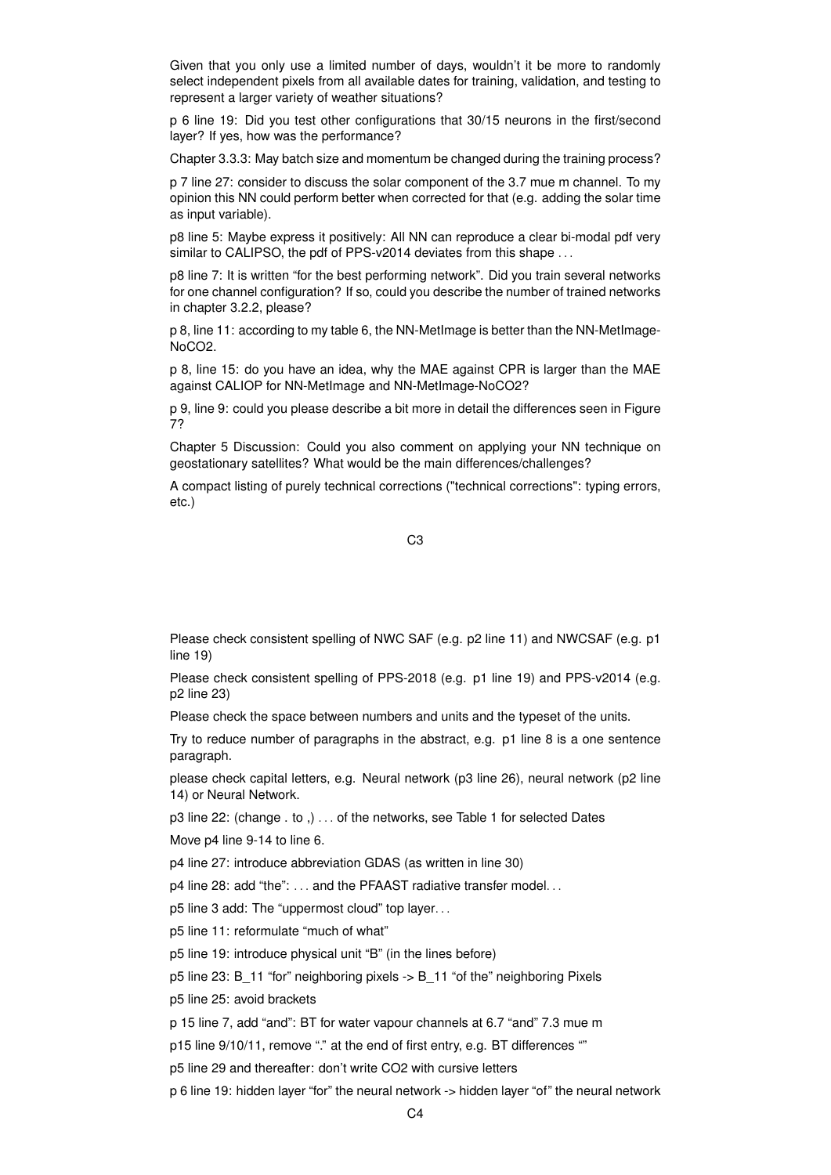Given that you only use a limited number of days, wouldn't it be more to randomly select independent pixels from all available dates for training, validation, and testing to represent a larger variety of weather situations?

p 6 line 19: Did you test other configurations that 30/15 neurons in the first/second layer? If yes, how was the performance?

Chapter 3.3.3: May batch size and momentum be changed during the training process?

p 7 line 27: consider to discuss the solar component of the 3.7 mue m channel. To my opinion this NN could perform better when corrected for that (e.g. adding the solar time as input variable).

p8 line 5: Maybe express it positively: All NN can reproduce a clear bi-modal pdf very similar to CALIPSO, the pdf of PPS-v2014 deviates from this shape ...

p8 line 7: It is written "for the best performing network". Did you train several networks for one channel configuration? If so, could you describe the number of trained networks in chapter 3.2.2, please?

p 8, line 11: according to my table 6, the NN-MetImage is better than the NN-MetImage-NoCO2.

p 8, line 15: do you have an idea, why the MAE against CPR is larger than the MAE against CALIOP for NN-MetImage and NN-MetImage-NoCO2?

p 9, line 9: could you please describe a bit more in detail the differences seen in Figure 7?

Chapter 5 Discussion: Could you also comment on applying your NN technique on geostationary satellites? What would be the main differences/challenges?

A compact listing of purely technical corrections ("technical corrections": typing errors, etc.)

C3

Please check consistent spelling of NWC SAF (e.g. p2 line 11) and NWCSAF (e.g. p1 line 19)

Please check consistent spelling of PPS-2018 (e.g. p1 line 19) and PPS-v2014 (e.g. p2 line 23)

Please check the space between numbers and units and the typeset of the units.

Try to reduce number of paragraphs in the abstract, e.g. p1 line 8 is a one sentence paragraph.

please check capital letters, e.g. Neural network (p3 line 26), neural network (p2 line 14) or Neural Network.

p3 line 22: (change . to ,) . . . of the networks, see Table 1 for selected Dates

Move p4 line 9-14 to line 6.

p4 line 27: introduce abbreviation GDAS (as written in line 30)

p4 line 28: add "the": ... and the PFAAST radiative transfer model...

p5 line 3 add: The "uppermost cloud" top layer. . .

p5 line 11: reformulate "much of what"

p5 line 19: introduce physical unit "B" (in the lines before)

p5 line 23: B\_11 "for" neighboring pixels -> B\_11 "of the" neighboring Pixels

p5 line 25: avoid brackets

p 15 line 7, add "and": BT for water vapour channels at 6.7 "and" 7.3 mue m

p15 line 9/10/11, remove "." at the end of first entry, e.g. BT differences ""

p5 line 29 and thereafter: don't write CO2 with cursive letters

p 6 line 19: hidden layer "for" the neural network -> hidden layer "of" the neural network